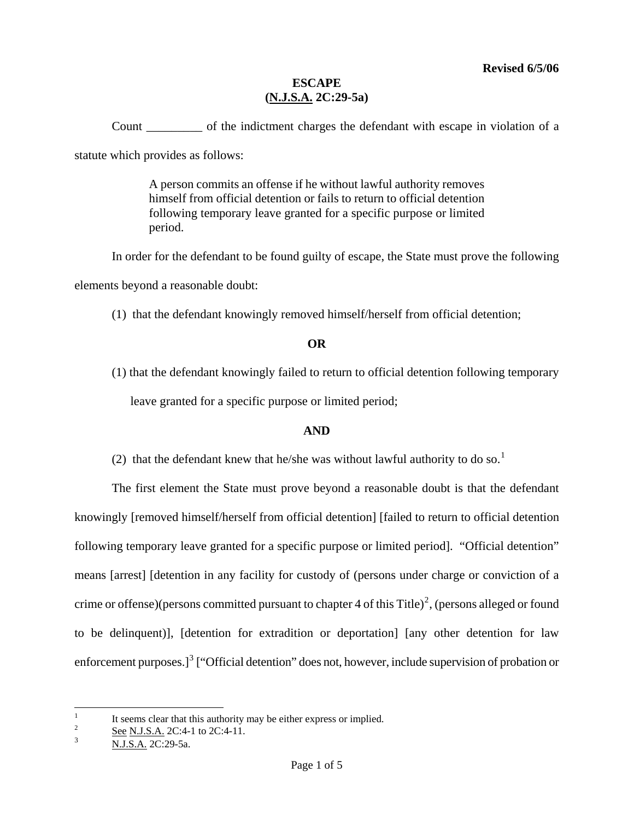Count \_\_\_\_\_\_\_\_\_ of the indictment charges the defendant with escape in violation of a statute which provides as follows:

> A person commits an offense if he without lawful authority removes himself from official detention or fails to return to official detention following temporary leave granted for a specific purpose or limited period.

In order for the defendant to be found guilty of escape, the State must prove the following elements beyond a reasonable doubt:

(1) that the defendant knowingly removed himself/herself from official detention;

## **OR**

(1) that the defendant knowingly failed to return to official detention following temporary leave granted for a specific purpose or limited period;

# **AND**

(2) that the defendant knew that he/she was without lawful authority to do so.<sup>[1](#page-0-0)</sup>

The first element the State must prove beyond a reasonable doubt is that the defendant knowingly [removed himself/herself from official detention] [failed to return to official detention following temporary leave granted for a specific purpose or limited period]. "Official detention" means [arrest] [detention in any facility for custody of (persons under charge or conviction of a crime or offense)(persons committed pursuant to chapter 4 of this Title)<sup>[2](#page-0-1)</sup>, (persons alleged or found to be delinquent)], [detention for extradition or deportation] [any other detention for law enforcement purposes.]<sup>[3](#page-0-2)</sup> ["Official detention" does not, however, include supervision of probation or

<span id="page-0-3"></span> $\frac{1}{1}$ It seems clear that this authority may be either express or implied.

<span id="page-0-1"></span><span id="page-0-0"></span><sup>2</sup> See N.J.S.A. 2C:4-1 to 2C:4-11.

<span id="page-0-2"></span><sup>3</sup> N.J.S.A. 2C:29-5a.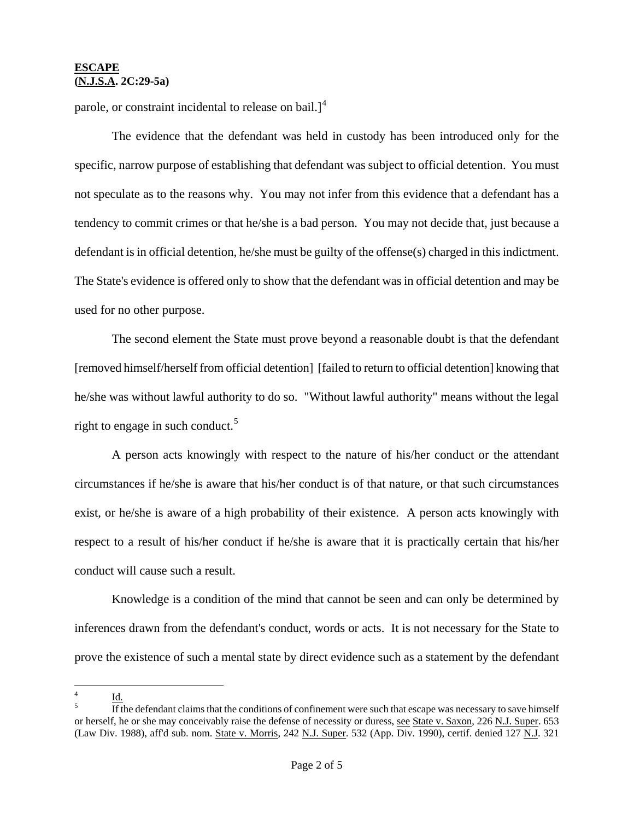parole, or constraint incidental to release on bail.] $4$ 

The evidence that the defendant was held in custody has been introduced only for the specific, narrow purpose of establishing that defendant was subject to official detention. You must not speculate as to the reasons why. You may not infer from this evidence that a defendant has a tendency to commit crimes or that he/she is a bad person. You may not decide that, just because a defendant is in official detention, he/she must be guilty of the offense(s) charged in this indictment. The State's evidence is offered only to show that the defendant was in official detention and may be used for no other purpose.

The second element the State must prove beyond a reasonable doubt is that the defendant [removed himself/herself from official detention] [failed to return to official detention] knowing that he/she was without lawful authority to do so. "Without lawful authority" means without the legal right to engage in such conduct.<sup>[5](#page-1-0)</sup>

A person acts knowingly with respect to the nature of his/her conduct or the attendant circumstances if he/she is aware that his/her conduct is of that nature, or that such circumstances exist, or he/she is aware of a high probability of their existence. A person acts knowingly with respect to a result of his/her conduct if he/she is aware that it is practically certain that his/her conduct will cause such a result.

Knowledge is a condition of the mind that cannot be seen and can only be determined by inferences drawn from the defendant's conduct, words or acts. It is not necessary for the State to prove the existence of such a mental state by direct evidence such as a statement by the defendant

 4  $Id.$ 

<span id="page-1-1"></span><span id="page-1-0"></span>If the defendant claims that the conditions of confinement were such that escape was necessary to save himself or herself, he or she may conceivably raise the defense of necessity or duress, see State v. Saxon, 226 N.J. Super. 653 (Law Div. 1988), aff'd sub. nom. State v. Morris, 242 N.J. Super. 532 (App. Div. 1990), certif. denied 127 N.J. 321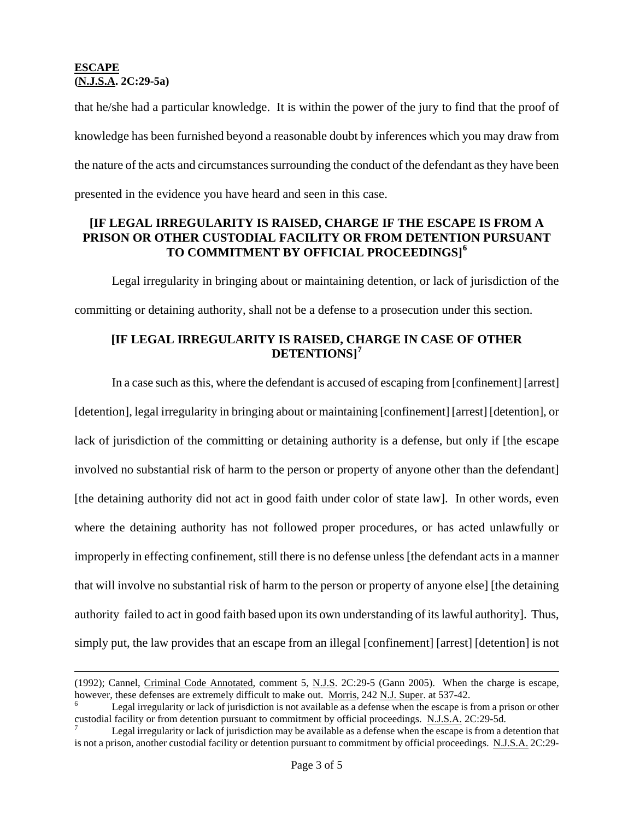that he/she had a particular knowledge. It is within the power of the jury to find that the proof of knowledge has been furnished beyond a reasonable doubt by inferences which you may draw from the nature of the acts and circumstances surrounding the conduct of the defendant as they have been presented in the evidence you have heard and seen in this case.

## **[IF LEGAL IRREGULARITY IS RAISED, CHARGE IF THE ESCAPE IS FROM A PRISON OR OTHER CUSTODIAL FACILITY OR FROM DETENTION PURSUANT TO COMMITMENT BY OFFICIAL PROCEEDINGS][6](#page-1-1)**

Legal irregularity in bringing about or maintaining detention, or lack of jurisdiction of the committing or detaining authority, shall not be a defense to a prosecution under this section.

# **[IF LEGAL IRREGULARITY IS RAISED, CHARGE IN CASE OF OTHER DETENTIONS][7](#page-2-0)**

In a case such as this, where the defendant is accused of escaping from [confinement] [arrest] [detention], legal irregularity in bringing about or maintaining [confinement] [arrest] [detention], or lack of jurisdiction of the committing or detaining authority is a defense, but only if [the escape involved no substantial risk of harm to the person or property of anyone other than the defendant] [the detaining authority did not act in good faith under color of state law]. In other words, even where the detaining authority has not followed proper procedures, or has acted unlawfully or improperly in effecting confinement, still there is no defense unless [the defendant acts in a manner that will involve no substantial risk of harm to the person or property of anyone else] [the detaining authority failed to act in good faith based upon its own understanding of its lawful authority]. Thus, simply put, the law provides that an escape from an illegal [confinement] [arrest] [detention] is not

<span id="page-2-1"></span><sup>(1992);</sup> Cannel, Criminal Code Annotated, comment 5, N.J.S. 2C:29-5 (Gann 2005). When the charge is escape, however, these defenses are extremely difficult to make out. Morris, 242 N.J. Super. at 537-42.

Legal irregularity or lack of jurisdiction is not available as a defense when the escape is from a prison or other custodial facility or from detention pursuant to commitment by official proceedings. N.J.S.A. 2C:29-5d. 7

<span id="page-2-0"></span>Legal irregularity or lack of jurisdiction may be available as a defense when the escape is from a detention that is not a prison, another custodial facility or detention pursuant to commitment by official proceedings. N.J.S.A. 2C:29-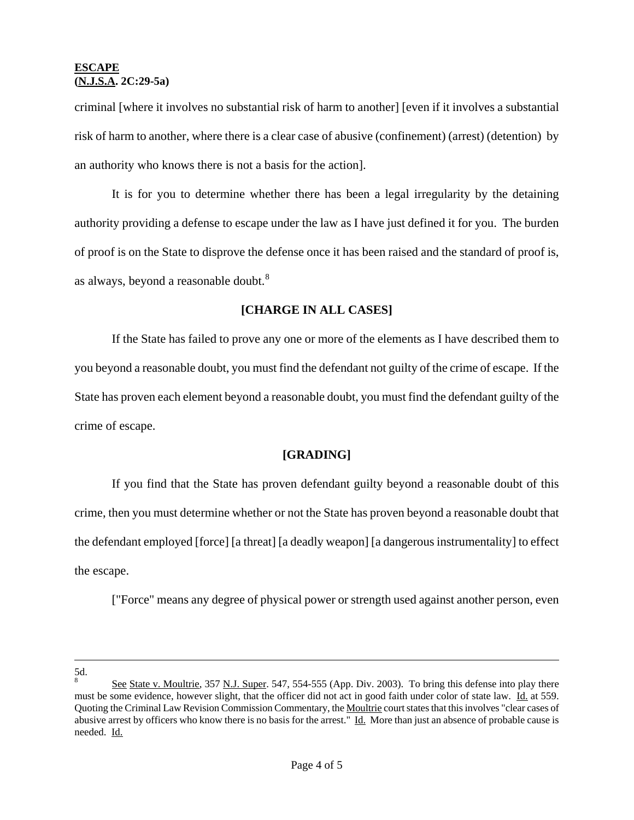criminal [where it involves no substantial risk of harm to another] [even if it involves a substantial risk of harm to another, where there is a clear case of abusive (confinement) (arrest) (detention) by an authority who knows there is not a basis for the action].

It is for you to determine whether there has been a legal irregularity by the detaining authority providing a defense to escape under the law as I have just defined it for you. The burden of proof is on the State to disprove the defense once it has been raised and the standard of proof is, as always, beyond a reasonable doubt.<sup>[8](#page-2-1)</sup>

## **[CHARGE IN ALL CASES]**

If the State has failed to prove any one or more of the elements as I have described them to you beyond a reasonable doubt, you must find the defendant not guilty of the crime of escape. If the State has proven each element beyond a reasonable doubt, you must find the defendant guilty of the crime of escape.

### **[GRADING]**

If you find that the State has proven defendant guilty beyond a reasonable doubt of this crime, then you must determine whether or not the State has proven beyond a reasonable doubt that the defendant employed [force] [a threat] [a deadly weapon] [a dangerous instrumentality] to effect the escape.

["Force" means any degree of physical power or strength used against another person, even

÷. 5d. 8

<span id="page-3-0"></span>See State v. Moultrie, 357 N.J. Super. 547, 554-555 (App. Div. 2003). To bring this defense into play there must be some evidence, however slight, that the officer did not act in good faith under color of state law. Id. at 559. Quoting the Criminal Law Revision Commission Commentary, the Moultrie court states that this involves "clear cases of abusive arrest by officers who know there is no basis for the arrest." Id. More than just an absence of probable cause is needed. Id.